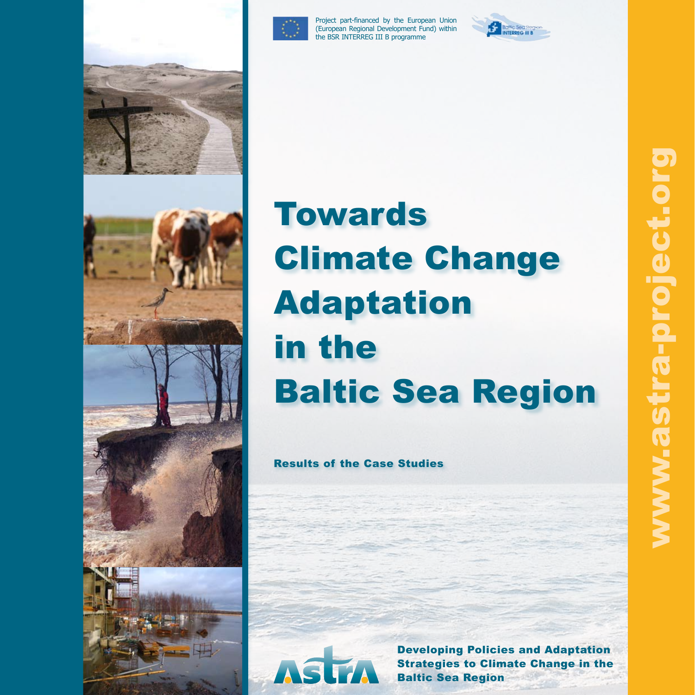



Project part-financed by the European Union (European Regional Development Fund) within the BSR INTERREG III B programme





# **Towards** Climate Change Adaptation in the Baltic Sea Region

Results of the Case Studies



Developing Policies and Adaptation Strategies to Climate Change in the Baltic Sea Region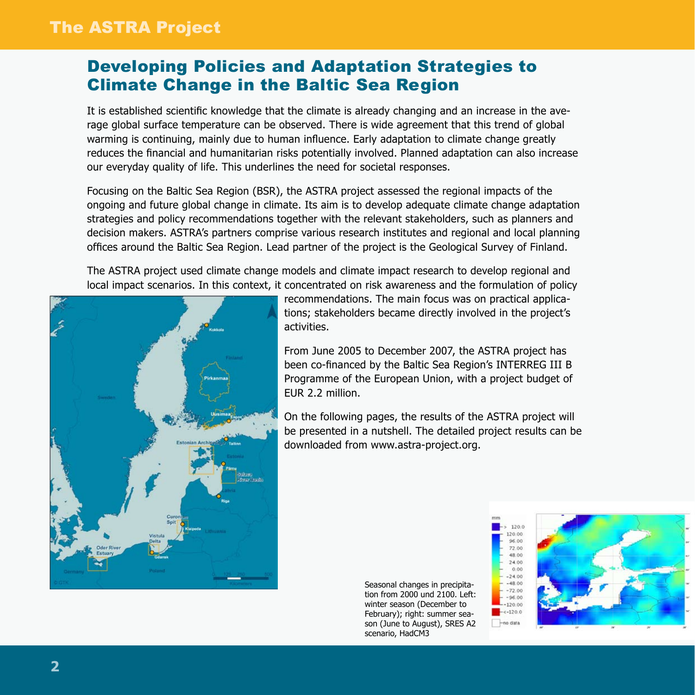# The ASTRA Project

# Developing Policies and Adaptation Strategies to Climate Change in the Baltic Sea Region

It is established scientific knowledge that the climate is already changing and an increase in the average global surface temperature can be observed. There is wide agreement that this trend of global warming is continuing, mainly due to human influence. Early adaptation to climate change greatly reduces the financial and humanitarian risks potentially involved. Planned adaptation can also increase our everyday quality of life. This underlines the need for societal responses.

Focusing on the Baltic Sea Region (BSR), the ASTRA project assessed the regional impacts of the ongoing and future global change in climate. Its aim is to develop adequate climate change adaptation strategies and policy recommendations together with the relevant stakeholders, such as planners and decision makers. ASTRA's partners comprise various research institutes and regional and local planning offices around the Baltic Sea Region. Lead partner of the project is the Geological Survey of Finland.

The ASTRA project used climate change models and climate impact research to develop regional and local impact scenarios. In this context, it concentrated on risk awareness and the formulation of policy



recommendations. The main focus was on practical applications; stakeholders became directly involved in the project's activities.

From June 2005 to December 2007, the ASTRA project has been co-financed by the Baltic Sea Region's INTERREG III B Programme of the European Union, with a project budget of EUR 2.2 million.

On the following pages, the results of the ASTRA project will be presented in a nutshell. The detailed project results can be downloaded from www.astra-project.org.

> Seasonal changes in precipitation from 2000 und 2100. Left: winter season (December to February); right: summer season (June to August), SRES A2 scenario, HadCM3

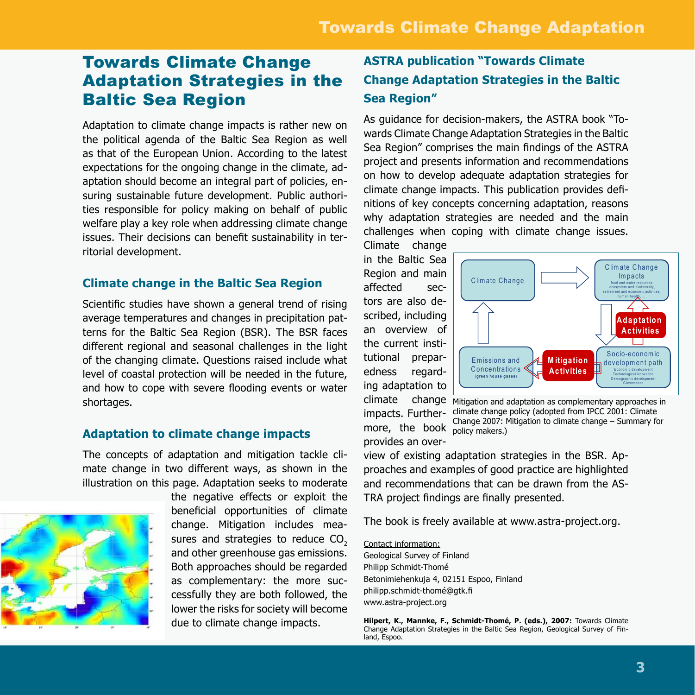### Towards Climate Change Adaptation Strategies in the Baltic Sea Region

Adaptation to climate change impacts is rather new on the political agenda of the Baltic Sea Region as well as that of the European Union. According to the latest expectations for the ongoing change in the climate, adaptation should become an integral part of policies, ensuring sustainable future development. Public authorities responsible for policy making on behalf of public welfare play a key role when addressing climate change issues. Their decisions can benefit sustainability in territorial development.

#### **Climate change in the Baltic Sea Region**

Scientific studies have shown a general trend of rising average temperatures and changes in precipitation patterns for the Baltic Sea Region (BSR). The BSR faces different regional and seasonal challenges in the light of the changing climate. Questions raised include what level of coastal protection will be needed in the future, and how to cope with severe flooding events or water shortages.

#### **Adaptation to climate change impacts**

The concepts of adaptation and mitigation tackle climate change in two different ways, as shown in the illustration on this page. Adaptation seeks to moderate



the negative effects or exploit the beneficial opportunities of climate change. Mitigation includes measures and strategies to reduce  $CO<sub>2</sub>$ and other greenhouse gas emissions. Both approaches should be regarded as complementary: the more successfully they are both followed, the lower the risks for society will become due to climate change impacts.

#### **ASTRA publication "Towards Climate Change Adaptation Strategies in the Baltic Sea Region"**

As guidance for decision-makers, the ASTRA book "Towards Climate Change Adaptation Strategies in the Baltic Sea Region" comprises the main findings of the ASTRA project and presents information and recommendations on how to develop adequate adaptation strategies for climate change impacts. This publication provides definitions of key concepts concerning adaptation, reasons why adaptation strategies are needed and the main challenges when coping with climate change issues.

Climate change in the Baltic Sea Region and main affected sectors are also described, including an overview of the current institutional preparedness regarding adaptation to impacts. Furthermore, the book policy makers.) provides an over-



climate change Mitigation and adaptation as complementary approaches in climate change policy (adopted from IPCC 2001: Climate Change 2007: Mitigation to climate change – Summary for

view of existing adaptation strategies in the BSR. Approaches and examples of good practice are highlighted and recommendations that can be drawn from the AS-TRA project findings are finally presented.

The book is freely available at www.astra-project.org.

Contact information:

Geological Survey of Finland Philipp Schmidt-Thomé Betonimiehenkuja 4, 02151 Espoo, Finland philipp.schmidt-thomé@gtk.fi www.astra-project.org

**Hilpert, K., Mannke, F., Schmidt-Thomé, P. (eds.), 2007:** Towards Climate Change Adaptation Strategies in the Baltic Sea Region, Geological Survey of Finland, Espoo.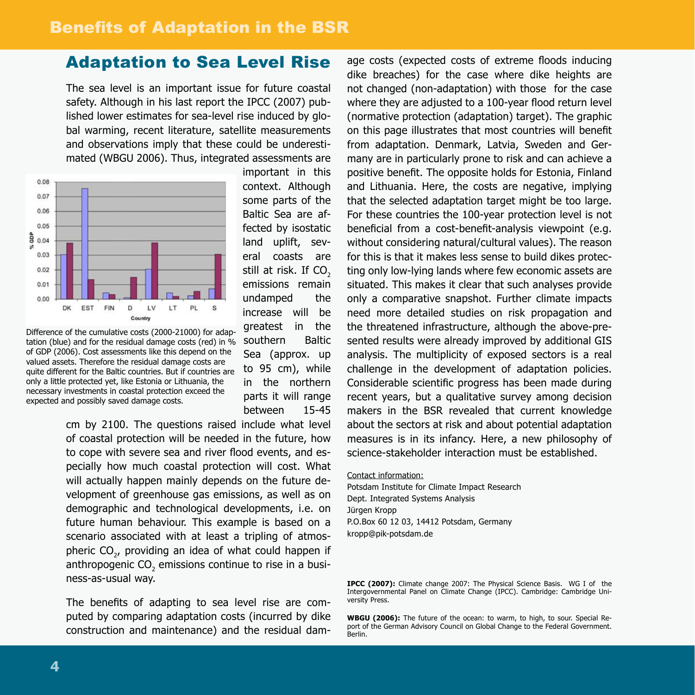#### Adaptation to Sea Level Rise

The sea level is an important issue for future coastal safety. Although in his last report the IPCC (2007) published lower estimates for sea-level rise induced by global warming, recent literature, satellite measurements and observations imply that these could be underestimated (WBGU 2006). Thus, integrated assessments are



Difference of the cumulative costs (2000-21000) for adaptation (blue) and for the residual damage costs (red) in % of GDP (2006). Cost assessments like this depend on the valued assets. Therefore the residual damage costs are quite different for the Baltic countries. But if countries are only a little protected yet, like Estonia or Lithuania, the necessary investments in coastal protection exceed the expected and possibly saved damage costs.

context. Although some parts of the Baltic Sea are affected by isostatic land uplift, several coasts are still at risk. If CO<sub>2</sub> emissions remain undamped the increase will be greatest in the southern Baltic Sea (approx. up to 95 cm), while in the northern parts it will range between 15-45

important in this

cm by 2100. The questions raised include what level of coastal protection will be needed in the future, how to cope with severe sea and river flood events, and especially how much coastal protection will cost. What will actually happen mainly depends on the future development of greenhouse gas emissions, as well as on demographic and technological developments, i.e. on future human behaviour. This example is based on a scenario associated with at least a tripling of atmospheric CO<sub>2</sub>, providing an idea of what could happen if anthropogenic CO<sub>2</sub> emissions continue to rise in a business-as-usual way.

The benefits of adapting to sea level rise are computed by comparing adaptation costs (incurred by dike construction and maintenance) and the residual dam-

age costs (expected costs of extreme floods inducing dike breaches) for the case where dike heights are not changed (non-adaptation) with those for the case where they are adjusted to a 100-year flood return level (normative protection (adaptation) target). The graphic on this page illustrates that most countries will benefit from adaptation. Denmark, Latvia, Sweden and Germany are in particularly prone to risk and can achieve a positive benefit. The opposite holds for Estonia, Finland and Lithuania. Here, the costs are negative, implying that the selected adaptation target might be too large. For these countries the 100-year protection level is not beneficial from a cost-benefit-analysis viewpoint (e.g. without considering natural/cultural values). The reason for this is that it makes less sense to build dikes protecting only low-lying lands where few economic assets are situated. This makes it clear that such analyses provide only a comparative snapshot. Further climate impacts need more detailed studies on risk propagation and the threatened infrastructure, although the above-presented results were already improved by additional GIS analysis. The multiplicity of exposed sectors is a real challenge in the development of adaptation policies. Considerable scientific progress has been made during recent years, but a qualitative survey among decision makers in the BSR revealed that current knowledge about the sectors at risk and about potential adaptation measures is in its infancy. Here, a new philosophy of science-stakeholder interaction must be established.

#### Contact information:

Potsdam Institute for Climate Impact Research Dept. Integrated Systems Analysis Jürgen Kropp P.O.Box 60 12 03, 14412 Potsdam, Germany kropp@pik-potsdam.de

**IPCC (2007):** Climate change 2007: The Physical Science Basis. WG I of the Intergovernmental Panel on Climate Change (IPCC). Cambridge: Cambridge University Press.

**WBGU (2006):** The future of the ocean: to warm, to high, to sour. Special Report of the German Advisory Council on Global Change to the Federal Government. Berlin.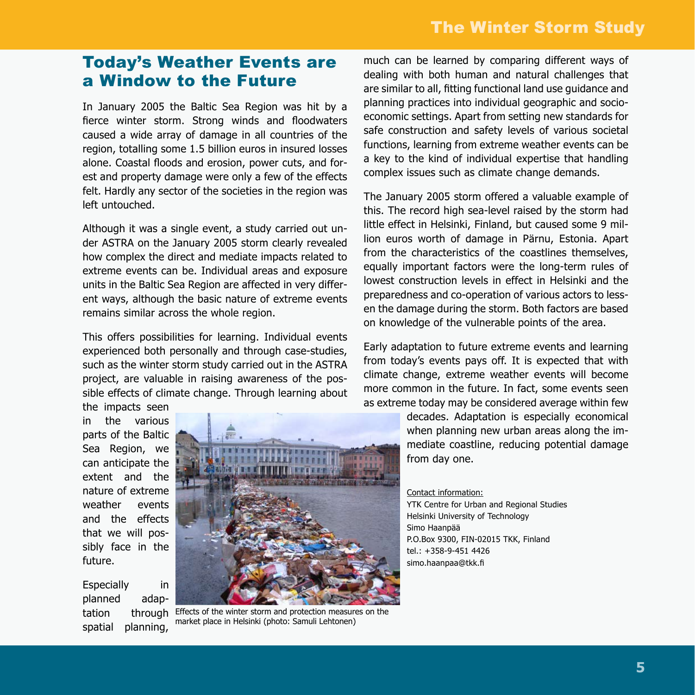#### Today's Weather Events are a Window to the Future

In January 2005 the Baltic Sea Region was hit by a fierce winter storm. Strong winds and floodwaters caused a wide array of damage in all countries of the region, totalling some 1.5 billion euros in insured losses alone. Coastal floods and erosion, power cuts, and forest and property damage were only a few of the effects felt. Hardly any sector of the societies in the region was left untouched.

Although it was a single event, a study carried out under ASTRA on the January 2005 storm clearly revealed how complex the direct and mediate impacts related to extreme events can be. Individual areas and exposure units in the Baltic Sea Region are affected in very different ways, although the basic nature of extreme events remains similar across the whole region.

This offers possibilities for learning. Individual events experienced both personally and through case-studies, such as the winter storm study carried out in the ASTRA project, are valuable in raising awareness of the possible effects of climate change. Through learning about

the impacts seen in the various parts of the Baltic Sea Region, we can anticipate the extent and the nature of extreme weather events and the effects that we will possibly face in the future.

Especially in planned adaptation through spatial planning,



Effects of the winter storm and protection measures on the market place in Helsinki (photo: Samuli Lehtonen)

much can be learned by comparing different ways of dealing with both human and natural challenges that are similar to all, fitting functional land use guidance and planning practices into individual geographic and socioeconomic settings. Apart from setting new standards for safe construction and safety levels of various societal functions, learning from extreme weather events can be a key to the kind of individual expertise that handling complex issues such as climate change demands.

The January 2005 storm offered a valuable example of this. The record high sea-level raised by the storm had little effect in Helsinki, Finland, but caused some 9 million euros worth of damage in Pärnu, Estonia. Apart from the characteristics of the coastlines themselves, equally important factors were the long-term rules of lowest construction levels in effect in Helsinki and the preparedness and co-operation of various actors to lessen the damage during the storm. Both factors are based on knowledge of the vulnerable points of the area.

Early adaptation to future extreme events and learning from today's events pays off. It is expected that with climate change, extreme weather events will become more common in the future. In fact, some events seen as extreme today may be considered average within few

> decades. Adaptation is especially economical when planning new urban areas along the immediate coastline, reducing potential damage from day one.

#### Contact information:

YTK Centre for Urban and Regional Studies Helsinki University of Technology Simo Haanpää P.O.Box 9300, FIN-02015 TKK, Finland tel.: +358-9-451 4426 simo.haanpaa@tkk.fi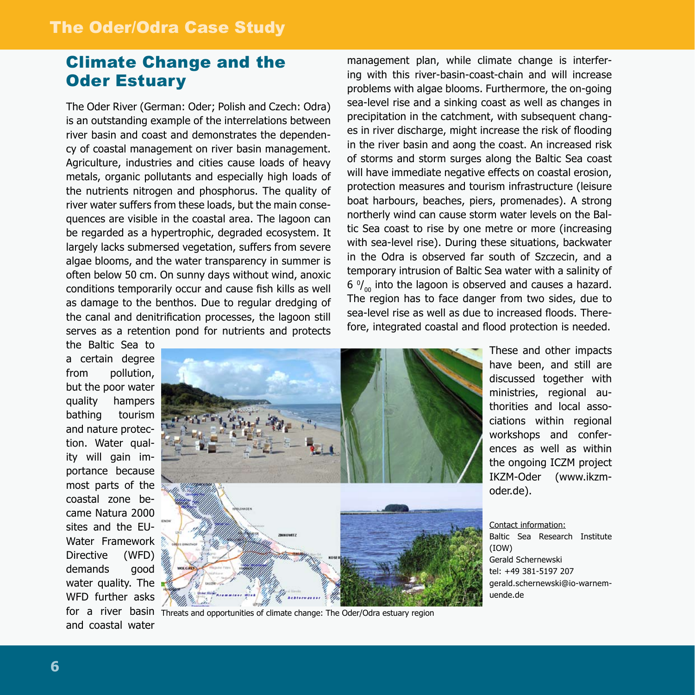### Climate Change and the Oder Estuary

The Oder River (German: Oder; Polish and Czech: Odra) is an outstanding example of the interrelations between river basin and coast and demonstrates the dependency of coastal management on river basin management. Agriculture, industries and cities cause loads of heavy metals, organic pollutants and especially high loads of the nutrients nitrogen and phosphorus. The quality of river water suffers from these loads, but the main consequences are visible in the coastal area. The lagoon can be regarded as a hypertrophic, degraded ecosystem. It largely lacks submersed vegetation, suffers from severe algae blooms, and the water transparency in summer is often below 50 cm. On sunny days without wind, anoxic conditions temporarily occur and cause fish kills as well as damage to the benthos. Due to regular dredging of the canal and denitrification processes, the lagoon still serves as a retention pond for nutrients and protects

management plan, while climate change is interfering with this river-basin-coast-chain and will increase problems with algae blooms. Furthermore, the on-going sea-level rise and a sinking coast as well as changes in precipitation in the catchment, with subsequent changes in river discharge, might increase the risk of flooding in the river basin and aong the coast. An increased risk of storms and storm surges along the Baltic Sea coast will have immediate negative effects on coastal erosion, protection measures and tourism infrastructure (leisure boat harbours, beaches, piers, promenades). A strong northerly wind can cause storm water levels on the Baltic Sea coast to rise by one metre or more (increasing with sea-level rise). During these situations, backwater in the Odra is observed far south of Szczecin, and a temporary intrusion of Baltic Sea water with a salinity of 6  $\frac{0}{00}$  into the lagoon is observed and causes a hazard. The region has to face danger from two sides, due to sea-level rise as well as due to increased floods. Therefore, integrated coastal and flood protection is needed.

the Baltic Sea to a certain degree from pollution. but the poor water quality hampers bathing tourism and nature protection. Water quality will gain importance because most parts of the coastal zone became Natura 2000 sites and the EU-Water Framework Directive (WFD) demands good water quality. The WFD further asks and coastal water



for a river basin Threats and opportunities of climate change: The Oder/Odra estuary region

These and other impacts have been, and still are discussed together with ministries, regional authorities and local associations within regional workshops and conferences as well as within the ongoing ICZM project IKZM-Oder (www.ikzmoder.de).

Contact information:

Baltic Sea Research Institute (IOW) Gerald Schernewski tel: +49 381-5197 207 gerald.schernewski@io-warnemuende.de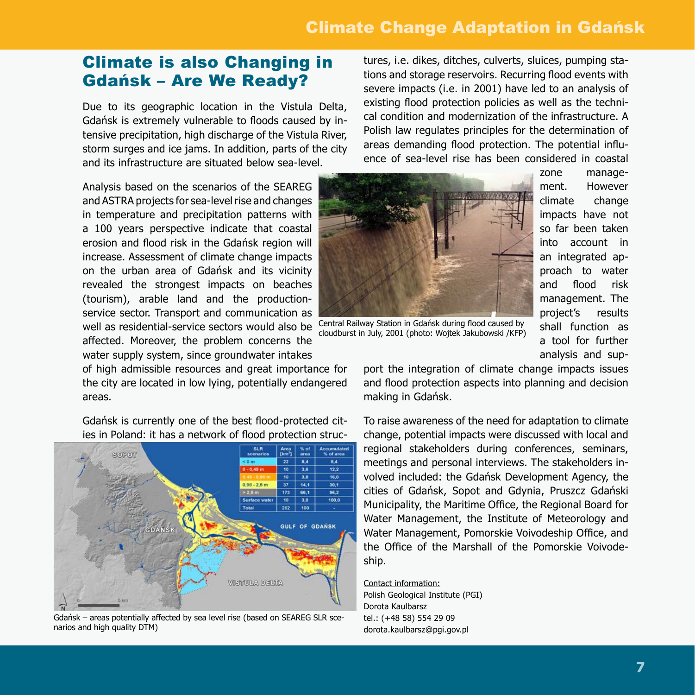# Climate Change Adaptation in Gdańsk

#### Climate is also Changing in Gdańsk – Are We Ready?

Due to its geographic location in the Vistula Delta, Gdańsk is extremely vulnerable to floods caused by intensive precipitation, high discharge of the Vistula River, storm surges and ice jams. In addition, parts of the city and its infrastructure are situated below sea-level.

Analysis based on the scenarios of the SEAREG and ASTRA projects for sea-level rise and changes in temperature and precipitation patterns with a 100 years perspective indicate that coastal erosion and flood risk in the Gdańsk region will increase. Assessment of climate change impacts on the urban area of Gdańsk and its vicinity revealed the strongest impacts on beaches (tourism), arable land and the productionservice sector. Transport and communication as well as residential-service sectors would also be affected. Moreover, the problem concerns the water supply system, since groundwater intakes

of high admissible resources and great importance for the city are located in low lying, potentially endangered areas.

Gdańsk is currently one of the best flood-protected cities in Poland: it has a network of flood protection struc-



Gdańsk – areas potentially affected by sea level rise (based on SEAREG SLR scenarios and high quality DTM)

tures, i.e. dikes, ditches, culverts, sluices, pumping stations and storage reservoirs. Recurring flood events with severe impacts (i.e. in 2001) have led to an analysis of existing flood protection policies as well as the technical condition and modernization of the infrastructure. A Polish law regulates principles for the determination of areas demanding flood protection. The potential influence of sea-level rise has been considered in coastal



zone management. However climate change impacts have not so far been taken into account in an integrated approach to water and flood risk management. The project's results shall function as a tool for further analysis and sup-

Central Railway Station in Gdańsk during flood caused by cloudburst in July, 2001 (photo: Wojtek Jakubowski /KFP)

port the integration of climate change impacts issues and flood protection aspects into planning and decision making in Gdańsk.

To raise awareness of the need for adaptation to climate change, potential impacts were discussed with local and regional stakeholders during conferences, seminars, meetings and personal interviews. The stakeholders involved included: the Gdańsk Development Agency, the cities of Gdańsk, Sopot and Gdynia, Pruszcz Gdański Municipality, the Maritime Office, the Regional Board for Water Management, the Institute of Meteorology and Water Management, Pomorskie Voivodeship Office, and the Office of the Marshall of the Pomorskie Voivodeship.

Contact information: Polish Geological Institute (PGI) Dorota Kaulbarsz tel.: (+48 58) 554 29 09 dorota.kaulbarsz@pgi.gov.pl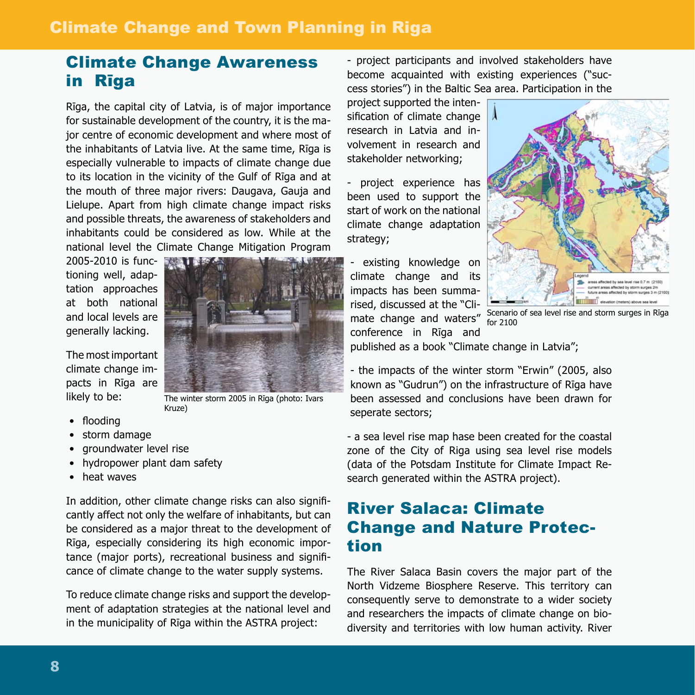#### Climate Change and Town Planning in Riga

# Climate Change Awareness in Rīga

Rīga, the capital city of Latvia, is of major importance for sustainable development of the country, it is the major centre of economic development and where most of the inhabitants of Latvia live. At the same time, Rīga is especially vulnerable to impacts of climate change due to its location in the vicinity of the Gulf of Rīga and at the mouth of three major rivers: Daugava, Gauja and Lielupe. Apart from high climate change impact risks and possible threats, the awareness of stakeholders and inhabitants could be considered as low. While at the national level the Climate Change Mitigation Program

2005-2010 is functioning well, adaptation approaches at both national and local levels are generally lacking.

The most important climate change impacts in Rīga are likely to be:



The winter storm 2005 in Rīga (photo: Ivars Kruze)

- flooding
- storm damage •
- groundwater level rise
- hydropower plant dam safety
- heat waves

In addition, other climate change risks can also significantly affect not only the welfare of inhabitants, but can be considered as a major threat to the development of Rīga, especially considering its high economic importance (major ports), recreational business and significance of climate change to the water supply systems.

To reduce climate change risks and support the development of adaptation strategies at the national level and in the municipality of Rīga within the ASTRA project:

- project participants and involved stakeholders have become acquainted with existing experiences ("success stories") in the Baltic Sea area. Participation in the

project supported the intensification of climate change research in Latvia and involvement in research and stakeholder networking;

- project experience has been used to support the start of work on the national climate change adaptation strategy;

- existing knowledge on climate change and its impacts has been summarised, discussed at the "Cliconference in Rīga and



mate change and waters" Scenario of sea level rise and storm surges in Riga for 2100

published as a book "Climate change in Latvia";

- the impacts of the winter storm "Erwin" (2005, also known as "Gudrun") on the infrastructure of Rīga have been assessed and conclusions have been drawn for seperate sectors;

- a sea level rise map hase been created for the coastal zone of the City of Riga using sea level rise models (data of the Potsdam Institute for Climate Impact Research generated within the ASTRA project).

# River Salaca: Climate Change and Nature Protection

The River Salaca Basin covers the major part of the North Vidzeme Biosphere Reserve. This territory can consequently serve to demonstrate to a wider society and researchers the impacts of climate change on biodiversity and territories with low human activity. River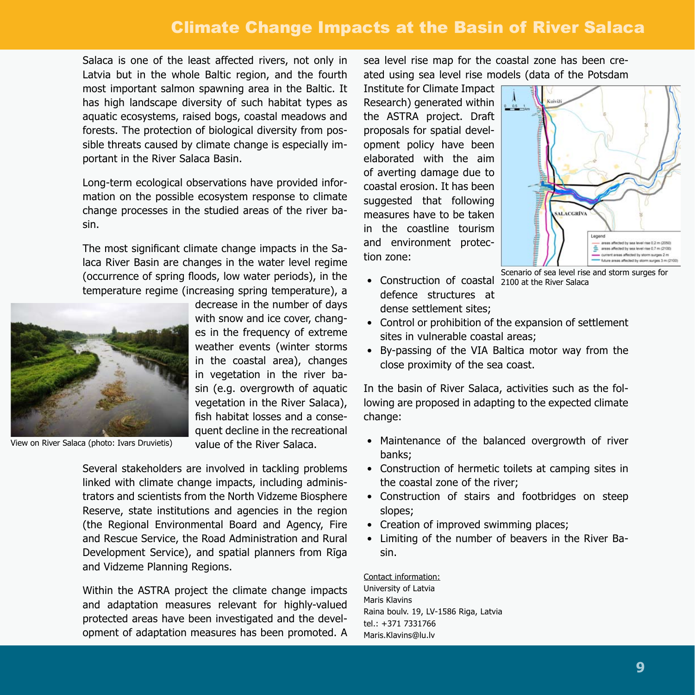# Climate Change Impacts at the Basin of River Salaca

Salaca is one of the least affected rivers, not only in Latvia but in the whole Baltic region, and the fourth most important salmon spawning area in the Baltic. It has high landscape diversity of such habitat types as aquatic ecosystems, raised bogs, coastal meadows and forests. The protection of biological diversity from possible threats caused by climate change is especially important in the River Salaca Basin.

Long-term ecological observations have provided information on the possible ecosystem response to climate change processes in the studied areas of the river basin.

The most significant climate change impacts in the Salaca River Basin are changes in the water level regime (occurrence of spring floods, low water periods), in the temperature regime (increasing spring temperature), a



with snow and ice cover, changes in the frequency of extreme weather events (winter storms in the coastal area), changes in vegetation in the river basin (e.g. overgrowth of aquatic vegetation in the River Salaca), fish habitat losses and a consequent decline in the recreational value of the River Salaca.

decrease in the number of days

View on River Salaca (photo: Ivars Druvietis)

Several stakeholders are involved in tackling problems linked with climate change impacts, including administrators and scientists from the North Vidzeme Biosphere Reserve, state institutions and agencies in the region (the Regional Environmental Board and Agency, Fire and Rescue Service, the Road Administration and Rural Development Service), and spatial planners from Rīga and Vidzeme Planning Regions.

Within the ASTRA project the climate change impacts and adaptation measures relevant for highly-valued protected areas have been investigated and the development of adaptation measures has been promoted. A sea level rise map for the coastal zone has been created using sea level rise models (data of the Potsdam

Institute for Climate Impact Research) generated within the ASTRA project. Draft proposals for spatial development policy have been elaborated with the aim of averting damage due to coastal erosion. It has been suggested that following measures have to be taken in the coastline tourism and environment protection zone:

• Construction of coastal 2100 at the River Salaca defence structures at dense settlement sites;



Scenario of sea level rise and storm surges for

- Control or prohibition of the expansion of settlement sites in vulnerable coastal areas;
- By-passing of the VIA Baltica motor way from the close proximity of the sea coast.

In the basin of River Salaca, activities such as the following are proposed in adapting to the expected climate change:

- Maintenance of the balanced overgrowth of river banks;
- Construction of hermetic toilets at camping sites in the coastal zone of the river;
- Construction of stairs and footbridges on steep slopes;
- Creation of improved swimming places;
- Limiting of the number of beavers in the River Basin. •

Contact information:

University of Latvia Maris Klavins Raina boulv. 19, LV-1586 Riga, Latvia tel.: +371 7331766 Maris.Klavins@lu.lv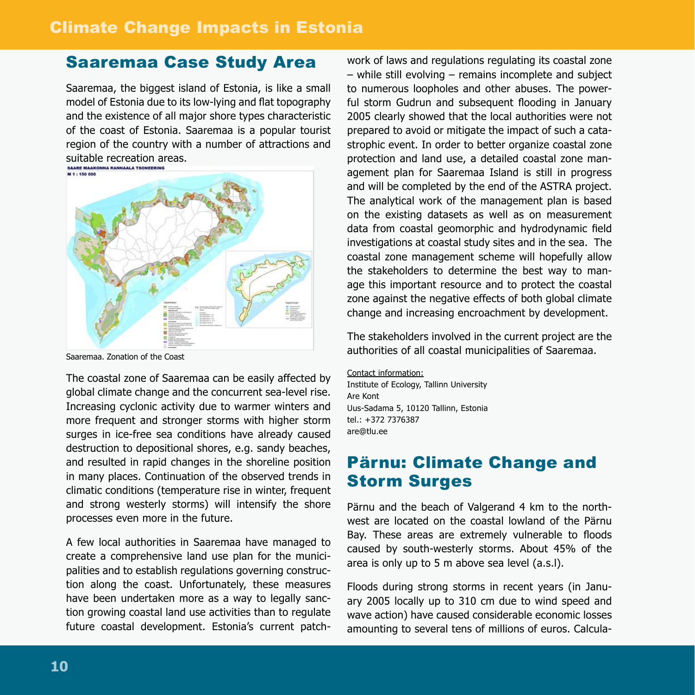# Saaremaa Case Study Area

Saaremaa, the biggest island of Estonia, is like a small model of Estonia due to its low-lying and flat topography and the existence of all major shore types characteristic of the coast of Estonia. Saaremaa is a popular tourist region of the country with a number of attractions and suitable recreation areas.



Saaremaa. Zonation of the Coast

The coastal zone of Saaremaa can be easily affected by global climate change and the concurrent sea-level rise. Increasing cyclonic activity due to warmer winters and more frequent and stronger storms with higher storm surges in ice-free sea conditions have already caused destruction to depositional shores, e.g. sandy beaches, and resulted in rapid changes in the shoreline position in many places. Continuation of the observed trends in climatic conditions (temperature rise in winter, frequent and strong westerly storms) will intensify the shore processes even more in the future.

A few local authorities in Saaremaa have managed to create a comprehensive land use plan for the municipalities and to establish regulations governing construction along the coast. Unfortunately, these measures have been undertaken more as a way to legally sanction growing coastal land use activities than to regulate future coastal development. Estonia's current patch-

work of laws and regulations regulating its coastal zone – while still evolving – remains incomplete and subject to numerous loopholes and other abuses. The powerful storm Gudrun and subsequent flooding in January 2005 clearly showed that the local authorities were not prepared to avoid or mitigate the impact of such a catastrophic event. In order to better organize coastal zone protection and land use, a detailed coastal zone management plan for Saaremaa Island is still in progress and will be completed by the end of the ASTRA project. The analytical work of the management plan is based on the existing datasets as well as on measurement data from coastal geomorphic and hydrodynamic field investigations at coastal study sites and in the sea. The coastal zone management scheme will hopefully allow the stakeholders to determine the best way to manage this important resource and to protect the coastal zone against the negative effects of both global climate change and increasing encroachment by development.

The stakeholders involved in the current project are the authorities of all coastal municipalities of Saaremaa.

Contact information: Institute of Ecology, Tallinn University Are Kont Uus-Sadama 5, 10120 Tallinn, Estonia tel.: +372 7376387 are@tlu.ee

### Pärnu: Climate Change and Storm Surges

Pärnu and the beach of Valgerand 4 km to the northwest are located on the coastal lowland of the Pärnu Bay. These areas are extremely vulnerable to floods caused by south-westerly storms. About 45% of the area is only up to 5 m above sea level (a.s.l).

Floods during strong storms in recent years (in January 2005 locally up to 310 cm due to wind speed and wave action) have caused considerable economic losses amounting to several tens of millions of euros. Calcula-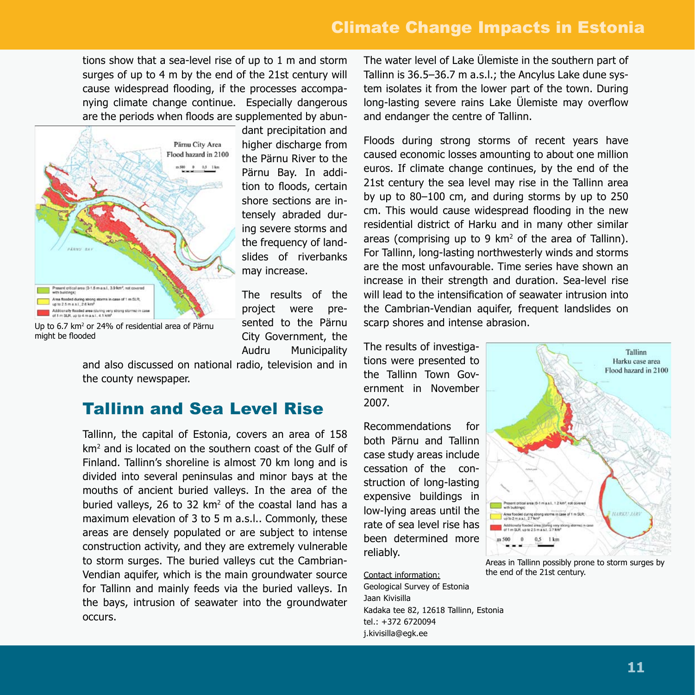# Climate Change Impacts in Estonia

tions show that a sea-level rise of up to 1 m and storm surges of up to 4 m by the end of the 21st century will cause widespread flooding, if the processes accompanying climate change continue. Especially dangerous are the periods when floods are supplemented by abun-



might be flooded

dant precipitation and higher discharge from the Pärnu River to the Pärnu Bay. In addition to floods, certain shore sections are intensely abraded during severe storms and the frequency of landslides of riverbanks may increase.

The results of the project were presented to the Pärnu City Government, the Audru Municipality

and also discussed on national radio, television and in the county newspaper.

#### Tallinn and Sea Level Rise

Tallinn, the capital of Estonia, covers an area of 158 km<sup>2</sup> and is located on the southern coast of the Gulf of Finland. Tallinn's shoreline is almost 70 km long and is divided into several peninsulas and minor bays at the mouths of ancient buried valleys. In the area of the buried valleys, 26 to 32  $km^2$  of the coastal land has a maximum elevation of 3 to 5 m a.s.l.. Commonly, these areas are densely populated or are subject to intense construction activity, and they are extremely vulnerable to storm surges. The buried valleys cut the Cambrian-Vendian aquifer, which is the main groundwater source for Tallinn and mainly feeds via the buried valleys. In the bays, intrusion of seawater into the groundwater occurs.

The water level of Lake Ülemiste in the southern part of Tallinn is 36.5–36.7 m a.s.l.; the Ancylus Lake dune system isolates it from the lower part of the town. During long-lasting severe rains Lake Ülemiste may overflow and endanger the centre of Tallinn.

Floods during strong storms of recent years have caused economic losses amounting to about one million euros. If climate change continues, by the end of the 21st century the sea level may rise in the Tallinn area by up to 80–100 cm, and during storms by up to 250 cm. This would cause widespread flooding in the new residential district of Harku and in many other similar areas (comprising up to 9  $km^2$  of the area of Tallinn). For Tallinn, long-lasting northwesterly winds and storms are the most unfavourable. Time series have shown an increase in their strength and duration. Sea-level rise will lead to the intensification of seawater intrusion into the Cambrian-Vendian aquifer, frequent landslides on scarp shores and intense abrasion.

The results of investigations were presented to the Tallinn Town Government in November 2007.

Recommendations for both Pärnu and Tallinn case study areas include cessation of the construction of long-lasting expensive buildings in low-lying areas until the rate of sea level rise has been determined more reliably.



Areas in Tallinn possibly prone to storm surges by the end of the 21st century.

Contact information: Geological Survey of Estonia Jaan Kivisilla Kadaka tee 82, 12618 Tallinn, Estonia tel.: +372 6720094 j.kivisilla@egk.ee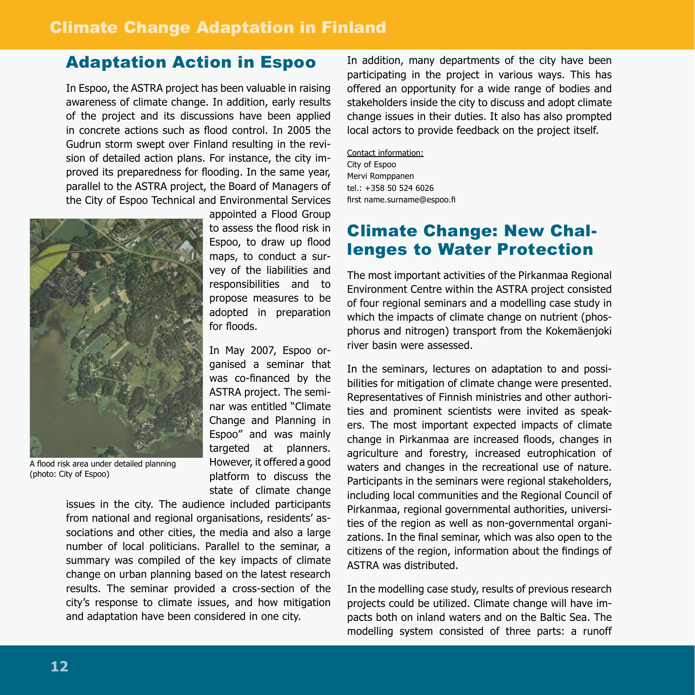### Adaptation Action in Espoo

In Espoo, the ASTRA project has been valuable in raising awareness of climate change. In addition, early results of the project and its discussions have been applied in concrete actions such as flood control. In 2005 the Gudrun storm swept over Finland resulting in the revision of detailed action plans. For instance, the city improved its preparedness for flooding. In the same year, parallel to the ASTRA project, the Board of Managers of the City of Espoo Technical and Environmental Services



A flood risk area under detailed planning (photo: City of Espoo)

appointed a Flood Group to assess the flood risk in Espoo, to draw up flood maps, to conduct a survey of the liabilities and responsibilities and to propose measures to be adopted in preparation for floods.

In May 2007, Espoo organised a seminar that was co-financed by the ASTRA project. The seminar was entitled "Climate Change and Planning in Espoo" and was mainly targeted at planners. However, it offered a good platform to discuss the state of climate change

issues in the city. The audience included participants from national and regional organisations, residents' associations and other cities, the media and also a large number of local politicians. Parallel to the seminar, a summary was compiled of the key impacts of climate change on urban planning based on the latest research results. The seminar provided a cross-section of the city's response to climate issues, and how mitigation and adaptation have been considered in one city.

In addition, many departments of the city have been participating in the project in various ways. This has offered an opportunity for a wide range of bodies and stakeholders inside the city to discuss and adopt climate change issues in their duties. It also has also prompted local actors to provide feedback on the project itself.

Contact information: City of Espoo Mervi Romppanen tel.: +358 50 524 6026 first name.surname@espoo.fi

# Climate Change: New Challenges to Water Protection

The most important activities of the Pirkanmaa Regional Environment Centre within the ASTRA project consisted of four regional seminars and a modelling case study in which the impacts of climate change on nutrient (phosphorus and nitrogen) transport from the Kokemäenjoki river basin were assessed.

In the seminars, lectures on adaptation to and possibilities for mitigation of climate change were presented. Representatives of Finnish ministries and other authorities and prominent scientists were invited as speakers. The most important expected impacts of climate change in Pirkanmaa are increased floods, changes in agriculture and forestry, increased eutrophication of waters and changes in the recreational use of nature. Participants in the seminars were regional stakeholders, including local communities and the Regional Council of Pirkanmaa, regional governmental authorities, universities of the region as well as non-governmental organizations. In the final seminar, which was also open to the citizens of the region, information about the findings of ASTRA was distributed.

In the modelling case study, results of previous research projects could be utilized. Climate change will have impacts both on inland waters and on the Baltic Sea. The modelling system consisted of three parts: a runoff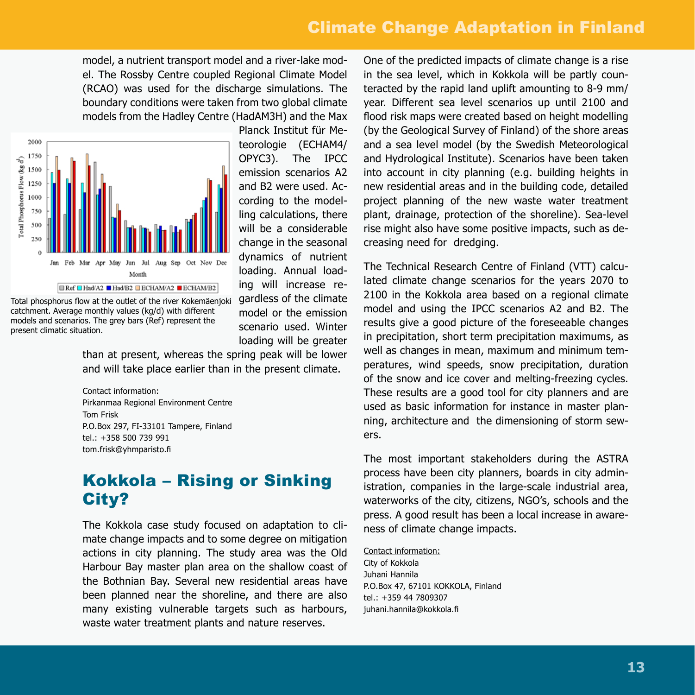# Climate Change Adaptation in Finland

model, a nutrient transport model and a river-lake model. The Rossby Centre coupled Regional Climate Model (RCAO) was used for the discharge simulations. The boundary conditions were taken from two global climate models from the Hadley Centre (HadAM3H) and the Max



Total phosphorus flow at the outlet of the river Kokemäenjoki catchment. Average monthly values (kg/d) with different models and scenarios. The grey bars (Ref) represent the present climatic situation.

Planck Institut für Meteorologie (ECHAM4/ OPYC3). The IPCC emission scenarios A2 and B2 were used. According to the modelling calculations, there will be a considerable change in the seasonal dynamics of nutrient loading. Annual loading will increase regardless of the climate model or the emission scenario used. Winter loading will be greater

than at present, whereas the spring peak will be lower and will take place earlier than in the present climate.

#### Contact information:

Pirkanmaa Regional Environment Centre Tom Frisk P.O.Box 297, FI-33101 Tampere, Finland tel.: +358 500 739 991 tom.frisk@yhmparisto.fi

# Kokkola – Rising or Sinking City?

The Kokkola case study focused on adaptation to climate change impacts and to some degree on mitigation actions in city planning. The study area was the Old Harbour Bay master plan area on the shallow coast of the Bothnian Bay. Several new residential areas have been planned near the shoreline, and there are also many existing vulnerable targets such as harbours, waste water treatment plants and nature reserves.

One of the predicted impacts of climate change is a rise in the sea level, which in Kokkola will be partly counteracted by the rapid land uplift amounting to 8-9 mm/ year. Different sea level scenarios up until 2100 and flood risk maps were created based on height modelling (by the Geological Survey of Finland) of the shore areas and a sea level model (by the Swedish Meteorological and Hydrological Institute). Scenarios have been taken into account in city planning (e.g. building heights in new residential areas and in the building code, detailed project planning of the new waste water treatment plant, drainage, protection of the shoreline). Sea-level rise might also have some positive impacts, such as decreasing need for dredging.

The Technical Research Centre of Finland (VTT) calculated climate change scenarios for the years 2070 to 2100 in the Kokkola area based on a regional climate model and using the IPCC scenarios A2 and B2. The results give a good picture of the foreseeable changes in precipitation, short term precipitation maximums, as well as changes in mean, maximum and minimum temperatures, wind speeds, snow precipitation, duration of the snow and ice cover and melting-freezing cycles. These results are a good tool for city planners and are used as basic information for instance in master planning, architecture and the dimensioning of storm sewers.

The most important stakeholders during the ASTRA process have been city planners, boards in city administration, companies in the large-scale industrial area, waterworks of the city, citizens, NGO's, schools and the press. A good result has been a local increase in awareness of climate change impacts.

Contact information: City of Kokkola Juhani Hannila P.O.Box 47, 67101 KOKKOLA, Finland tel.: +359 44 7809307 juhani.hannila@kokkola.fi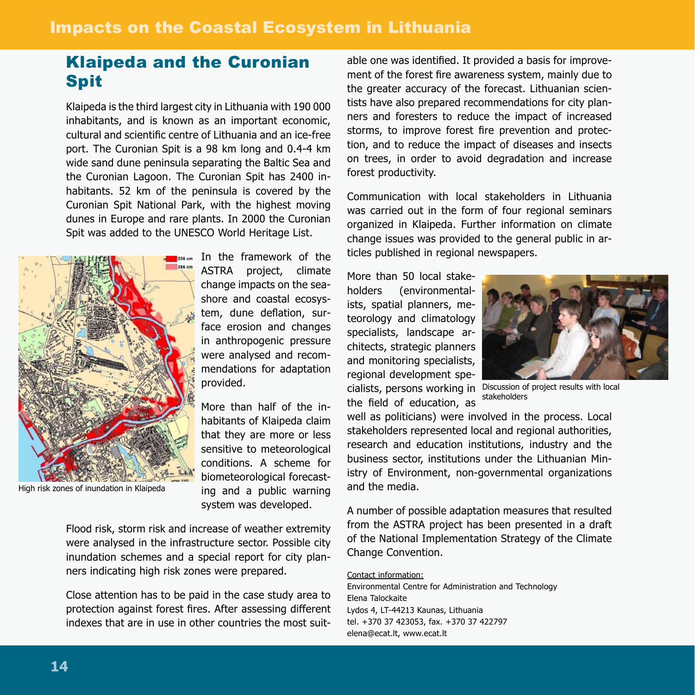### Klaipeda and the Curonian Spit

Klaipeda is the third largest city in Lithuania with 190 000 inhabitants, and is known as an important economic, cultural and scientific centre of Lithuania and an ice-free port. The Curonian Spit is a 98 km long and 0.4-4 km wide sand dune peninsula separating the Baltic Sea and the Curonian Lagoon. The Curonian Spit has 2400 inhabitants. 52 km of the peninsula is covered by the Curonian Spit National Park, with the highest moving dunes in Europe and rare plants. In 2000 the Curonian Spit was added to the UNESCO World Heritage List.



High risk zones of inundation in Klaipeda

Isseen In the framework of the ASTRA project, climate change impacts on the seashore and coastal ecosystem, dune deflation, surface erosion and changes in anthropogenic pressure were analysed and recommendations for adaptation provided.

> More than half of the inhabitants of Klaipeda claim that they are more or less sensitive to meteorological conditions. A scheme for biometeorological forecasting and a public warning system was developed.

Flood risk, storm risk and increase of weather extremity were analysed in the infrastructure sector. Possible city inundation schemes and a special report for city planners indicating high risk zones were prepared.

Close attention has to be paid in the case study area to protection against forest fires. After assessing different indexes that are in use in other countries the most suit-

able one was identified. It provided a basis for improvement of the forest fire awareness system, mainly due to the greater accuracy of the forecast. Lithuanian scientists have also prepared recommendations for city planners and foresters to reduce the impact of increased storms, to improve forest fire prevention and protection, and to reduce the impact of diseases and insects on trees, in order to avoid degradation and increase forest productivity.

Communication with local stakeholders in Lithuania was carried out in the form of four regional seminars organized in Klaipeda. Further information on climate change issues was provided to the general public in articles published in regional newspapers.

More than 50 local stakeholders (environmentalists, spatial planners, meteorology and climatology specialists, landscape architects, strategic planners and monitoring specialists, regional development spethe field of education, as



cialists, persons working in Discussion of project results with local stakeholders

well as politicians) were involved in the process. Local stakeholders represented local and regional authorities, research and education institutions, industry and the business sector, institutions under the Lithuanian Ministry of Environment, non-governmental organizations and the media.

A number of possible adaptation measures that resulted from the ASTRA project has been presented in a draft of the National Implementation Strategy of the Climate Change Convention.

#### Contact information:

Environmental Centre for Administration and Technology Elena Talockaite Lydos 4, LT-44213 Kaunas, Lithuania tel. +370 37 423053, fax. +370 37 422797 elena@ecat.lt, www.ecat.lt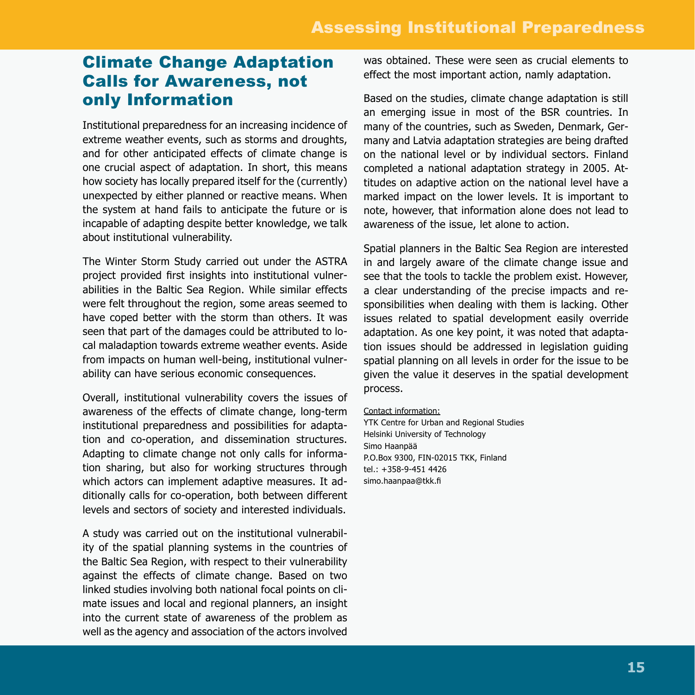#### Climate Change Adaptation Calls for Awareness, not only Information

Institutional preparedness for an increasing incidence of extreme weather events, such as storms and droughts, and for other anticipated effects of climate change is one crucial aspect of adaptation. In short, this means how society has locally prepared itself for the (currently) unexpected by either planned or reactive means. When the system at hand fails to anticipate the future or is incapable of adapting despite better knowledge, we talk about institutional vulnerability.

The Winter Storm Study carried out under the ASTRA project provided first insights into institutional vulnerabilities in the Baltic Sea Region. While similar effects were felt throughout the region, some areas seemed to have coped better with the storm than others. It was seen that part of the damages could be attributed to local maladaption towards extreme weather events. Aside from impacts on human well-being, institutional vulnerability can have serious economic consequences.

Overall, institutional vulnerability covers the issues of awareness of the effects of climate change, long-term institutional preparedness and possibilities for adaptation and co-operation, and dissemination structures. Adapting to climate change not only calls for information sharing, but also for working structures through which actors can implement adaptive measures. It additionally calls for co-operation, both between different levels and sectors of society and interested individuals.

A study was carried out on the institutional vulnerability of the spatial planning systems in the countries of the Baltic Sea Region, with respect to their vulnerability against the effects of climate change. Based on two linked studies involving both national focal points on climate issues and local and regional planners, an insight into the current state of awareness of the problem as well as the agency and association of the actors involved

was obtained. These were seen as crucial elements to effect the most important action, namly adaptation.

Based on the studies, climate change adaptation is still an emerging issue in most of the BSR countries. In many of the countries, such as Sweden, Denmark, Germany and Latvia adaptation strategies are being drafted on the national level or by individual sectors. Finland completed a national adaptation strategy in 2005. Attitudes on adaptive action on the national level have a marked impact on the lower levels. It is important to note, however, that information alone does not lead to awareness of the issue, let alone to action.

Spatial planners in the Baltic Sea Region are interested in and largely aware of the climate change issue and see that the tools to tackle the problem exist. However, a clear understanding of the precise impacts and responsibilities when dealing with them is lacking. Other issues related to spatial development easily override adaptation. As one key point, it was noted that adaptation issues should be addressed in legislation guiding spatial planning on all levels in order for the issue to be given the value it deserves in the spatial development process.

#### Contact information:

YTK Centre for Urban and Regional Studies Helsinki University of Technology Simo Haanpää P.O.Box 9300, FIN-02015 TKK, Finland tel.: +358-9-451 4426 simo.haanpaa@tkk.fi